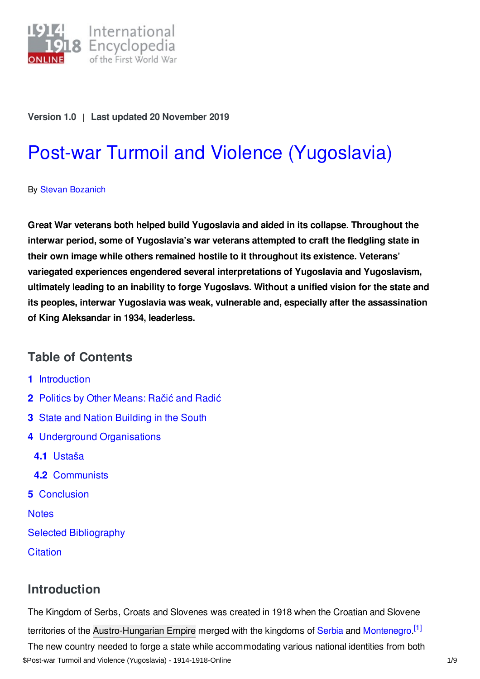

### **Version 1.0** | **Last updated 20 November 2019**

# Post-war Turmoil and Violence [\(Yugoslavia\)](https://encyclopedia.1914-1918-online.net/article/post-war_turmoil_and_violence_yugoslavia)

By Stevan [Bozanich](https://encyclopedia.1914-1918-online.net/contributors/Stevan_Bozanich)

**Great War veterans both helped build Yugoslavia and aided in its collapse. Throughout the interwar period, some of Yugoslavia's war veterans attempted to craft the fledgling state in their own image while others remained hostile to it throughout its existence. Veterans' variegated experiences engendered several interpretations of Yugoslavia and Yugoslavism, ultimately leading to an inability to forge Yugoslavs. Without a unified vision for the state and its peoples, interwar Yugoslavia was weak, vulnerable and, especially after the assassination of King Aleksandar in 1934, leaderless.**

## **Table of Contents**

- **1** [Introduction](#page-0-0)
- **2** Politics by Other [Means:](#page-1-0) Račić and Radić
- **3** State and Nation [Building](#page-2-0) in the South
- **4** Underground [Organisations](#page-4-0)
	- **4.1** [Ustaša](#page-4-1)
	- **4.2** [Communists](#page-4-2)
- **5** [Conclusion](#page-6-0)

**[Notes](#page-6-1)** 

Selected [Bibliography](#page-7-0)

**[Citation](#page-8-0)** 

## <span id="page-0-1"></span><span id="page-0-0"></span>**Introduction**

The Kingdom of Serbs, Croats and Slovenes was created in 1918 when the Croatian and Slovene territories of the [Austro-Hungarian](https://encyclopedia.1914-1918-online.net/article/austria-hungary) Empire merged with the kingdoms of [Serbia](https://encyclopedia.1914-1918-online.net/article/serbia) and [Montenegro](https://encyclopedia.1914-1918-online.net/article/montenegro).<sup>[\[1\]](#page-7-1)</sup> The new country needed to forge a state while accommodating various national identities from both \$Post-war Turmoil and Violence (Yugoslavia) - 1914-1918-Online 1/9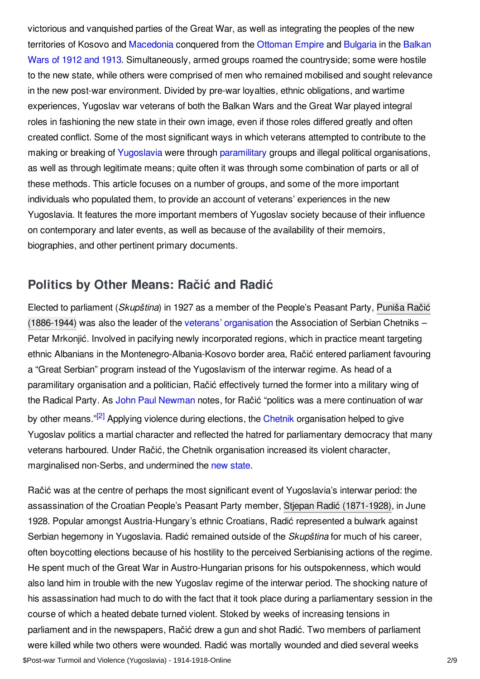victorious and vanquished parties of the Great War, as well as integrating the peoples of the new territories of Kosovo and [Macedonia](https://encyclopedia.1914-1918-online.net/article/macedonia_and_the_internal_macedonian_revolutionary_organization) conquered from the [Ottoman](https://encyclopedia.1914-1918-online.net/article/ottoman_empiremiddle_east) Empire and [Bulgaria](https://encyclopedia.1914-1918-online.net/article/bulgaria) in the Balkan Wars of 1912 and 1913. [Simultaneously,](https://encyclopedia.1914-1918-online.net/article/balkan_wars_1912-1913) armed groups roamed the countryside; some were hostile to the new state, while others were comprised of men who remained mobilised and sought relevance in the new post-war environment. Divided by pre-war loyalties, ethnic obligations, and wartime experiences, Yugoslav war veterans of both the Balkan Wars and the Great War played integral roles in fashioning the new state in their own image, even if those roles differed greatly and often created conflict. Some of the most significant ways in which veterans attempted to contribute to the making or breaking of [Yugoslavia](https://encyclopedia.1914-1918-online.net/article/yugoslavia) were through [paramilitary](https://encyclopedia.1914-1918-online.net/article/paramilitary_violence) groups and illegal political organisations, as well as through legitimate means; quite often it was through some combination of parts or all of these methods. This article focuses on a number of groups, and some of the more important individuals who populated them, to provide an account of veterans' experiences in the new Yugoslavia. It features the more important members of Yugoslav society because of their influence on contemporary and later events, as well as because of the availability of their memoirs, biographies, and other pertinent primary documents.

## <span id="page-1-0"></span>**Politics by Other Means: Račić and Radić**

Elected to parliament (*Skupština*) in 1927 as a member of the People's Peasant Party, Puniša Račić (1886-1944) was also the leader of the veterans' [organisation](https://encyclopedia.1914-1918-online.net/index/names/123000289) the Association of Serbian Chetniks – Petar Mrkonjić. Involved in pacifying newly incorporated regions, which in practice meant targeting ethnic Albanians in the Montenegro-Albania-Kosovo border area, Račić entered parliament favouring a "Great Serbian" program instead of the Yugoslavism of the interwar regime. As head of a paramilitary organisation and a politician, Račić effectively turned the former into a military wing of the Radical Party. As John Paul [Newman](https://encyclopedia.1914-1918-online.net/contributors/John_Paul_Newman) notes, for Račić "politics was a mere continuation of war by other means."<sup>[\[2\]](#page-7-2)</sup> Applying violence during elections, the [Chetnik](https://encyclopedia.1914-1918-online.net/article/chetniks) organisation helped to give Yugoslav politics a martial character and reflected the hatred for parliamentary democracy that many veterans harboured. Under Račić, the Chetnik organisation increased its violent character, marginalised non-Serbs, and undermined the new [state](https://encyclopedia.1914-1918-online.net/article/crumbling_of_empires_and_emerging_states_czechoslovakia_and_yugoslavia_as_multinational_countries).

<span id="page-1-1"></span>Račić was at the centre of perhaps the most significant event of Yugoslavia's interwar period: the assassination of the Croatian People's Peasant Party member, Stjepan Radić [\(1871-1928\)](https://encyclopedia.1914-1918-online.net/index/names/118983083), in June 1928. Popular amongst Austria-Hungary's ethnic Croatians, Radić represented a bulwark against Serbian hegemony in Yugoslavia. Radić remained outside of the *Skupština* for much of his career, often boycotting elections because of his hostility to the perceived Serbianising actions of the regime. He spent much of the Great War in Austro-Hungarian prisons for his outspokenness, which would also land him in trouble with the new Yugoslav regime of the interwar period. The shocking nature of his assassination had much to do with the fact that it took place during a parliamentary session in the course of which a heated debate turned violent. Stoked by weeks of increasing tensions in parliament and in the newspapers, Račić drew a gun and shot Radić. Two members of parliament were killed while two others were wounded. Radić was mortally wounded and died several weeks \$Post-war Turmoil and Violence (Yugoslavia) - 1914-1918-Online 2/9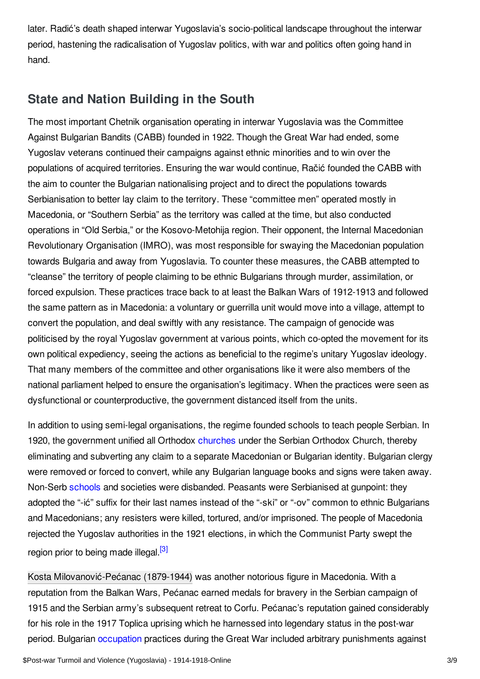later. Radić's death shaped interwar Yugoslavia's socio-political landscape throughout the interwar period, hastening the radicalisation of Yugoslav politics, with war and politics often going hand in hand.

# <span id="page-2-0"></span>**State and Nation Building in the South**

The most important Chetnik organisation operating in interwar Yugoslavia was the Committee Against Bulgarian Bandits (CABB) founded in 1922. Though the Great War had ended, some Yugoslav veterans continued their campaigns against ethnic minorities and to win over the populations of acquired territories. Ensuring the war would continue, Račić founded the CABB with the aim to counter the Bulgarian nationalising project and to direct the populations towards Serbianisation to better lay claim to the territory. These "committee men" operated mostly in Macedonia, or "Southern Serbia" as the territory was called at the time, but also conducted operations in "Old Serbia," or the Kosovo-Metohija region. Their opponent, the Internal Macedonian Revolutionary Organisation (IMRO), was most responsible for swaying the Macedonian population towards Bulgaria and away from Yugoslavia. To counter these measures, the CABB attempted to "cleanse" the territory of people claiming to be ethnic Bulgarians through murder, assimilation, or forced expulsion. These practices trace back to at least the Balkan Wars of 1912-1913 and followed the same pattern as in Macedonia: a voluntary or guerrilla unit would move into a village, attempt to convert the population, and deal swiftly with any resistance. The campaign of genocide was politicised by the royal Yugoslav government at various points, which co-opted the movement for its own political expediency, seeing the actions as beneficial to the regime's unitary Yugoslav ideology. That many members of the committee and other organisations like it were also members of the national parliament helped to ensure the organisation's legitimacy. When the practices were seen as dysfunctional or counterproductive, the government distanced itself from the units.

In addition to using semi-legal organisations, the regime founded schools to teach people Serbian. In 1920, the government unified all Orthodox [churches](https://encyclopedia.1914-1918-online.net/article/the_churches) under the Serbian Orthodox Church, thereby eliminating and subverting any claim to a separate Macedonian or Bulgarian identity. Bulgarian clergy were removed or forced to convert, while any Bulgarian language books and signs were taken away. Non-Serb [schools](https://encyclopedia.1914-1918-online.net/article/schools_and_universities) and societies were disbanded. Peasants were Serbianised at gunpoint: they adopted the "-ić" suffix for their last names instead of the "-ski" or "-ov" common to ethnic Bulgarians and Macedonians; any resisters were killed, tortured, and/or imprisoned. The people of Macedonia rejected the Yugoslav authorities in the 1921 elections, in which the Communist Party swept the region prior to being made illegal.<sup>[\[3\]](#page-7-3)</sup>

<span id="page-2-1"></span>Kosta [Milovanović-Pećanac](https://encyclopedia.1914-1918-online.net/index/names/12132513X) (1879-1944) was another notorious figure in Macedonia. With a reputation from the Balkan Wars, Pećanac earned medals for bravery in the Serbian campaign of 1915 and the Serbian army's subsequent retreat to Corfu. Pećanac's reputation gained considerably for his role in the 1917 Toplica uprising which he harnessed into legendary status in the post-war period. Bulgarian [occupation](https://encyclopedia.1914-1918-online.net/article/occupation_during_and_after_the_war_south_east_europe) practices during the Great War included arbitrary punishments against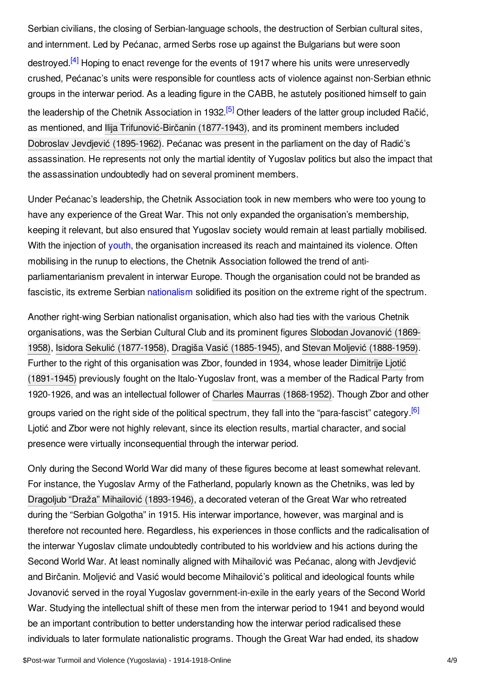<span id="page-3-1"></span><span id="page-3-0"></span>Serbian civilians, the closing of Serbian-language schools, the destruction of Serbian cultural sites, and internment. Led by Pećanac, armed Serbs rose up against the Bulgarians but were soon destroyed.<sup>[\[4\]](#page-7-4)</sup> Hoping to enact revenge for the events of 1917 where his units were unreservedly crushed, Pećanac's units were responsible for countless acts of violence against non-Serbian ethnic groups in the interwar period. As a leading figure in the CABB, he astutely positioned himself to gain the leadership of the Chetnik Association in 1932.<sup>[\[5\]](#page-7-5)</sup> Other leaders of the latter group included Račić, as mentioned, and Ilija [Trifunović-Birčanin](https://encyclopedia.1914-1918-online.net/index/names/1198941030) (1877-1943), and its prominent members included Dobroslav Jevdjević [\(1895-1962\)](https://encyclopedia.1914-1918-online.net/index/names/135674115). Pećanac was present in the parliament on the day of Radić's assassination. He represents not only the martial identity of Yugoslav politics but also the impact that the assassination undoubtedly had on several prominent members.

Under Pećanac's leadership, the Chetnik Association took in new members who were too young to have any experience of the Great War. This not only expanded the organisation's membership, keeping it relevant, but also ensured that Yugoslav society would remain at least partially mobilised. With the injection of [youth](https://encyclopedia.1914-1918-online.net/article/children_and_youth), the organisation increased its reach and maintained its violence. Often mobilising in the runup to elections, the Chetnik Association followed the trend of antiparliamentarianism prevalent in interwar Europe. Though the organisation could not be branded as fascistic, its extreme Serbian [nationalism](https://encyclopedia.1914-1918-online.net/article/nationalism) solidified its position on the extreme right of the spectrum.

Another right-wing Serbian nationalist organisation, which also had ties with the various Chetnik [organisations,](https://encyclopedia.1914-1918-online.net/index/names/119298074) was the Serbian Cultural Club and its prominent figures Slobodan Jovanović (1869- 1958), Isidora Sekulić [\(1877-1958\)](https://encyclopedia.1914-1918-online.net/index/names/119531135), Dragiša Vasić [\(1885-1945\)](https://encyclopedia.1914-1918-online.net/index/names/119087006), and Stevan Moljević [\(1888-1959\)](https://encyclopedia.1914-1918-online.net/index/names/1068045280). Further to the right of this organisation was Zbor, founded in 1934, whose leader Dimitrije Ljotić (1891-1945) previously fought on the [Italo-Yugoslav](https://encyclopedia.1914-1918-online.net/index/names/120170841) front, was a member of the Radical Party from 1920-1926, and was an intellectual follower of Charles Maurras [\(1868-1952\)](https://encyclopedia.1914-1918-online.net/index/names/118782673). Though Zbor and other groups varied on the right side of the political spectrum, they fall into the "para-fascist" category.<sup>[\[6\]](#page-7-6)</sup> Ljotić and Zbor were not highly relevant, since its election results, martial character, and social presence were virtually inconsequential through the interwar period.

<span id="page-3-2"></span>Only during the Second World War did many of these figures become at least somewhat relevant. For instance, the Yugoslav Army of the Fatherland, popularly known as the Chetniks, was led by Dragoljub "Draža" Mihailović [\(1893-1946\)](https://encyclopedia.1914-1918-online.net/index/names/118783874), a decorated veteran of the Great War who retreated during the "Serbian Golgotha" in 1915. His interwar importance, however, was marginal and is therefore not recounted here. Regardless, his experiences in those conflicts and the radicalisation of the interwar Yugoslav climate undoubtedly contributed to his worldview and his actions during the Second World War. At least nominally aligned with Mihailović was Pećanac, along with Jevdjević and Birčanin. Moljević and Vasić would become Mihailović's political and ideological founts while Jovanović served in the royal Yugoslav government-in-exile in the early years of the Second World War. Studying the intellectual shift of these men from the interwar period to 1941 and beyond would be an important contribution to better understanding how the interwar period radicalised these individuals to later formulate nationalistic programs. Though the Great War had ended, its shadow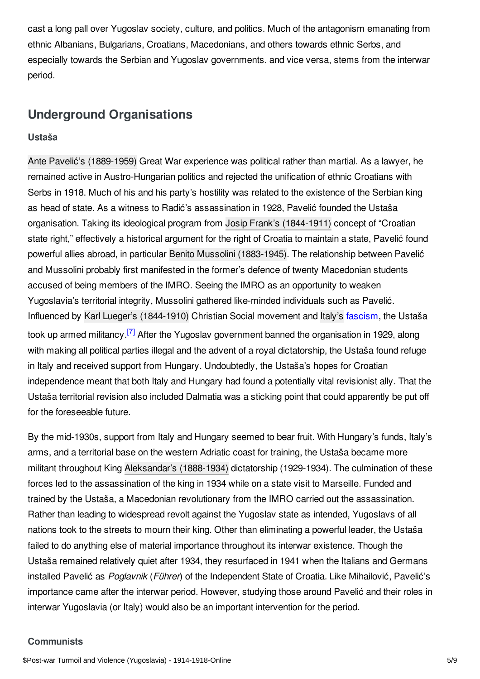cast a long pall over Yugoslav society, culture, and politics. Much of the antagonism emanating from ethnic Albanians, Bulgarians, Croatians, Macedonians, and others towards ethnic Serbs, and especially towards the Serbian and Yugoslav governments, and vice versa, stems from the interwar period.

## <span id="page-4-0"></span>**Underground Organisations**

#### <span id="page-4-1"></span>**Ustaša**

Ante Pavelić's [\(1889-1959\)](https://encyclopedia.1914-1918-online.net/index/names/118789996) Great War experience was political rather than martial. As a lawyer, he remained active in Austro-Hungarian politics and rejected the unification of ethnic Croatians with Serbs in 1918. Much of his and his party's hostility was related to the existence of the Serbian king as head of state. As a witness to Radić's assassination in 1928, Pavelić founded the Ustaša organisation. Taking its ideological program from Josip Frank's [\(1844-1911\)](https://encyclopedia.1914-1918-online.net/index/names/120820838) concept of "Croatian state right," effectively a historical argument for the right of Croatia to maintain a state, Pavelić found powerful allies abroad, in particular Benito Mussolini [\(1883-1945\)](https://encyclopedia.1914-1918-online.net/index/names/118585967). The relationship between Pavelić and Mussolini probably first manifested in the former's defence of twenty Macedonian students accused of being members of the IMRO. Seeing the IMRO as an opportunity to weaken Yugoslavia's territorial integrity, Mussolini gathered like-minded individuals such as Pavelić. Influenced by Karl Lueger's [\(1844-1910\)](https://encyclopedia.1914-1918-online.net/index/names/118729578) Christian Social movement and [Italy's](https://encyclopedia.1914-1918-online.net/article/italy) [fascism](https://encyclopedia.1914-1918-online.net/article/fascism_and_the_radical_right), the Ustaša took up armed militancy.<sup>[\[7\]](#page-7-7)</sup> After the Yugoslav government banned the organisation in 1929, along with making all political parties illegal and the advent of a royal dictatorship, the Ustaša found refuge in Italy and received support from Hungary. Undoubtedly, the Ustaša's hopes for Croatian independence meant that both Italy and Hungary had found a potentially vital revisionist ally. That the Ustaša territorial revision also included Dalmatia was a sticking point that could apparently be put off for the foreseeable future.

<span id="page-4-3"></span>By the mid-1930s, support from Italy and Hungary seemed to bear fruit. With Hungary's funds, Italy's arms, and a territorial base on the western Adriatic coast for training, the Ustaša became more militant throughout King [Aleksandar's](https://encyclopedia.1914-1918-online.net/index/names/118647970) (1888-1934) dictatorship (1929-1934). The culmination of these forces led to the assassination of the king in 1934 while on a state visit to Marseille. Funded and trained by the Ustaša, a Macedonian revolutionary from the IMRO carried out the assassination. Rather than leading to widespread revolt against the Yugoslav state as intended, Yugoslavs of all nations took to the streets to mourn their king. Other than eliminating a powerful leader, the Ustaša failed to do anything else of material importance throughout its interwar existence. Though the Ustaša remained relatively quiet after 1934, they resurfaced in 1941 when the Italians and Germans installed Pavelić as *Poglavnik* (*Führer*) of the Independent State of Croatia. Like Mihailović, Pavelić's importance came after the interwar period. However, studying those around Pavelić and their roles in interwar Yugoslavia (or Italy) would also be an important intervention for the period.

#### <span id="page-4-2"></span>**Communists**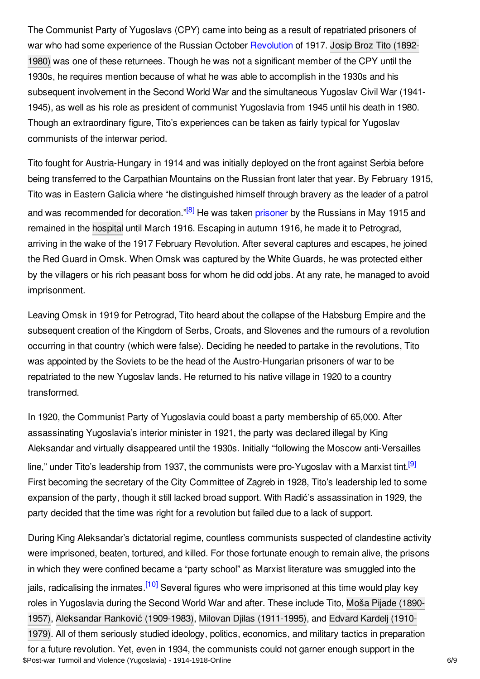The Communist Party of Yugoslavs (CPY) came into being as a result of repatriated prisoners of war who had some [experience](https://encyclopedia.1914-1918-online.net/index/names/118622935) of the Russian October [Revolution](https://encyclopedia.1914-1918-online.net/article/revolutions_russian_empire) of 1917. Josip Broz Tito (1892-1980) was one of these returnees. Though he was not a significant member of the CPY until the 1930s, he requires mention because of what he was able to accomplish in the 1930s and his subsequent involvement in the Second World War and the simultaneous Yugoslav Civil War (1941- 1945), as well as his role as president of communist Yugoslavia from 1945 until his death in 1980. Though an extraordinary figure, Tito's experiences can be taken as fairly typical for Yugoslav communists of the interwar period.

<span id="page-5-0"></span>Tito fought for Austria-Hungary in 1914 and was initially deployed on the front against Serbia before being transferred to the Carpathian Mountains on the Russian front later that year. By February 1915, Tito was in Eastern Galicia where "he distinguished himself through bravery as the leader of a patrol and was recommended for decoration."<sup>[\[8\]](#page-7-8)</sup> He was taken [prisoner](https://encyclopedia.1914-1918-online.net/article/prisoners_of_war_russian_empire) by the Russians in May 1915 and remained in the [hospital](https://encyclopedia.1914-1918-online.net/article/hospitals) until March 1916. Escaping in autumn 1916, he made it to Petrograd, arriving in the wake of the 1917 February Revolution. After several captures and escapes, he joined the Red Guard in Omsk. When Omsk was captured by the White Guards, he was protected either by the villagers or his rich peasant boss for whom he did odd jobs. At any rate, he managed to avoid imprisonment.

Leaving Omsk in 1919 for Petrograd, Tito heard about the collapse of the Habsburg Empire and the subsequent creation of the Kingdom of Serbs, Croats, and Slovenes and the rumours of a revolution occurring in that country (which were false). Deciding he needed to partake in the revolutions, Tito was appointed by the Soviets to be the head of the Austro-Hungarian prisoners of war to be repatriated to the new Yugoslav lands. He returned to his native village in 1920 to a country transformed.

<span id="page-5-1"></span>In 1920, the Communist Party of Yugoslavia could boast a party membership of 65,000. After assassinating Yugoslavia's interior minister in 1921, the party was declared illegal by King Aleksandar and virtually disappeared until the 1930s. Initially "following the Moscow anti-Versailles line," under Tito's leadership from 1937, the communists were pro-Yugoslav with a Marxist tint.<sup>[\[9\]](#page-7-9)</sup> First becoming the secretary of the City Committee of Zagreb in 1928, Tito's leadership led to some expansion of the party, though it still lacked broad support. With Radić's assassination in 1929, the party decided that the time was right for a revolution but failed due to a lack of support.

<span id="page-5-2"></span>During King Aleksandar's dictatorial regime, countless communists suspected of clandestine activity were imprisoned, beaten, tortured, and killed. For those fortunate enough to remain alive, the prisons in which they were confined became a "party school" as Marxist literature was smuggled into the jails, radicalising the inmates.<sup>[\[10\]](#page-7-10)</sup> Several figures who were imprisoned at this time would play key roles in Yugoslavia during the Second World War and after. These include Tito, Moša Pijade (1890- 1957), Aleksandar Ranković [\(1909-1983\)](https://encyclopedia.1914-1918-online.net/index/names/119046148), Milovan Djilas [\(1911-1995\),](https://encyclopedia.1914-1918-online.net/index/names/118929348) and Edvard Kardelj (1910- 1979). All of them seriously studied ideology, politics, economics, and military tactics in preparation for a future revolution. Yet, even in 1934, the communists could not garner enough support in the \$Post-war Turmoil and Violence (Yugoslavia) - 1914-1918-Online 6/9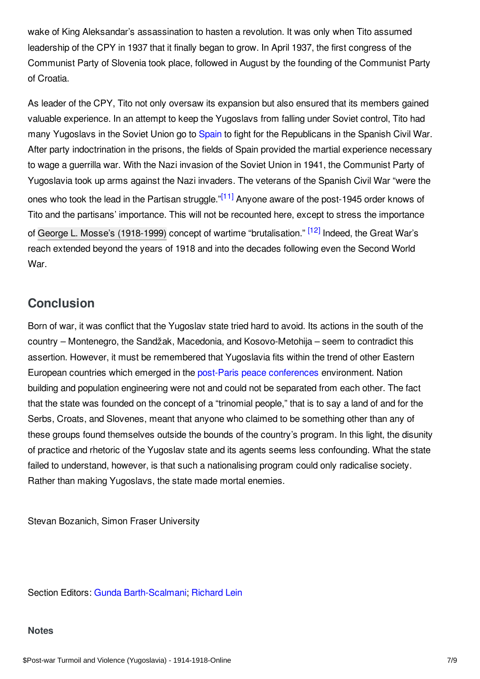wake of King Aleksandar's assassination to hasten a revolution. It was only when Tito assumed leadership of the CPY in 1937 that it finally began to grow. In April 1937, the first congress of the Communist Party of Slovenia took place, followed in August by the founding of the Communist Party of Croatia.

<span id="page-6-2"></span>As leader of the CPY, Tito not only oversaw its expansion but also ensured that its members gained valuable experience. In an attempt to keep the Yugoslavs from falling under Soviet control, Tito had many Yugoslavs in the Soviet Union go to [Spain](https://encyclopedia.1914-1918-online.net/article/spain) to fight for the Republicans in the Spanish Civil War. After party indoctrination in the prisons, the fields of Spain provided the martial experience necessary to wage a guerrilla war. With the Nazi invasion of the Soviet Union in 1941, the Communist Party of Yugoslavia took up arms against the Nazi invaders. The veterans of the Spanish Civil War "were the ones who took the lead in the Partisan struggle."<sup>[\[11\]](#page-7-11)</sup> Anyone aware of the post-1945 order knows of Tito and the partisans' importance. This will not be recounted here, except to stress the importance of George L. Mosse's [\(1918-1999\)](https://encyclopedia.1914-1918-online.net/index/names/119113449) concept of wartime "brutalisation." <sup>[\[12\]](#page-7-12)</sup> Indeed, the Great War's reach extended beyond the years of 1918 and into the decades following even the Second World War.

# <span id="page-6-3"></span><span id="page-6-0"></span>**Conclusion**

Born of war, it was conflict that the Yugoslav state tried hard to avoid. Its actions in the south of the country – Montenegro, the Sandžak, Macedonia, and Kosovo-Metohija – seem to contradict this assertion. However, it must be remembered that Yugoslavia fits within the trend of other Eastern European countries which emerged in the post-Paris peace [conferences](https://encyclopedia.1914-1918-online.net/article/the_paris_peace_conference_and_its_consequences) environment. Nation building and population engineering were not and could not be separated from each other. The fact that the state was founded on the concept of a "trinomial people," that is to say a land of and for the Serbs, Croats, and Slovenes, meant that anyone who claimed to be something other than any of these groups found themselves outside the bounds of the country's program. In this light, the disunity of practice and rhetoric of the Yugoslav state and its agents seems less confounding. What the state failed to understand, however, is that such a nationalising program could only radicalise society. Rather than making Yugoslavs, the state made mortal enemies.

Stevan Bozanich, Simon Fraser University

Section Editors: Gunda [Barth-Scalmani](https://encyclopedia.1914-1918-online.net/contributors/Gunda_Barth-Scalmani); [Richard](https://encyclopedia.1914-1918-online.net/contributors/Richard_Lein) Lein

#### <span id="page-6-1"></span>**Notes**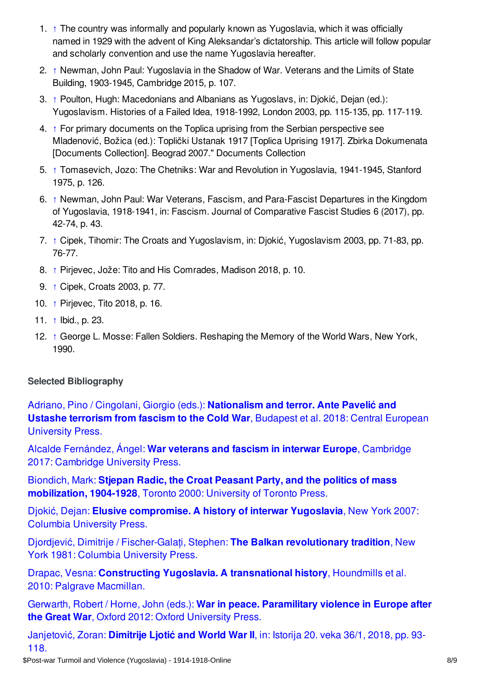- <span id="page-7-1"></span>1. [↑](#page-0-1) The country was informally and popularly known as Yugoslavia, which it was officially named in 1929 with the advent of King Aleksandar's dictatorship. This article will follow popular and scholarly convention and use the name Yugoslavia hereafter.
- <span id="page-7-2"></span>2. [↑](#page-1-1) Newman, John Paul: Yugoslavia in the Shadow of War. Veterans and the Limits of State Building, 1903-1945, Cambridge 2015, p. 107.
- <span id="page-7-3"></span>3. [↑](#page-2-1) Poulton, Hugh: Macedonians and Albanians as Yugoslavs, in: Djokić, Dejan (ed.): Yugoslavism. Histories of a Failed Idea, 1918-1992, London 2003, pp. 115-135, pp. 117-119.
- <span id="page-7-4"></span>4. [↑](#page-3-0) For primary documents on the Toplica uprising from the Serbian perspective see Mladenović, Božica (ed.): Toplički Ustanak 1917 [Toplica Uprising 1917]. Zbirka Dokumenata [Documents Collection]. Beograd 2007." Documents Collection
- <span id="page-7-5"></span>5. [↑](#page-3-1) Tomasevich, Jozo: The Chetniks: War and Revolution in Yugoslavia, 1941-1945, Stanford 1975, p. 126.
- <span id="page-7-6"></span>6. [↑](#page-3-2) Newman, John Paul: War Veterans, Fascism, and Para-Fascist Departures in the Kingdom of Yugoslavia, 1918-1941, in: Fascism. Journal of Comparative Fascist Studies 6 (2017), pp. 42-74, p. 43.
- <span id="page-7-7"></span>7. [↑](#page-4-3) Cipek, Tihomir: The Croats and Yugoslavism, in: Djokić, Yugoslavism 2003, pp. 71-83, pp. 76-77.
- <span id="page-7-8"></span>8. [↑](#page-5-0) Pirjevec, Jože: Tito and His Comrades, Madison 2018, p. 10.
- <span id="page-7-9"></span>9. [↑](#page-5-1) Cipek, Croats 2003, p. 77.
- <span id="page-7-10"></span>10. [↑](#page-5-2) Pirjevec, Tito 2018, p. 16.
- <span id="page-7-11"></span>11. [↑](#page-6-2) Ibid., p. 23.
- <span id="page-7-12"></span>12. [↑](#page-6-3) George L. Mosse: Fallen Soldiers. Reshaping the Memory of the World Wars, New York, 1990.

## <span id="page-7-0"></span>**Selected Bibliography**

Adriano, Pino / Cingolani, Giorgio (eds.): **[Nationalism](https://encyclopedia.1914-1918-online.net/bibliography/255A7PIY) and terror. Ante Pavelić and Ustashe terrorism from fascism to the Cold War**, Budapest et al. 2018: Central European University Press.

Alcalde [Fernández,](https://encyclopedia.1914-1918-online.net/bibliography/SZ2KCE8L) Ángel: **War veterans and fascism in interwar Europe**, Cambridge 2017: Cambridge University Press.

Biondich, Mark: **Stjepan Radic, the Croat Peasant Party, and the politics of mass [mobilization,](https://encyclopedia.1914-1918-online.net/bibliography/KIB79Y5S) 1904-1928**, Toronto 2000: University of Toronto Press.

Djokić, Dejan: **Elusive [compromise.](https://encyclopedia.1914-1918-online.net/bibliography/NF23GDNZ) A history of interwar Yugoslavia**, New York 2007: Columbia University Press.

Djordjević, Dimitrije / [Fischer-Galaţi,](https://encyclopedia.1914-1918-online.net/bibliography/9D7IDZMP) Stephen: **The Balkan revolutionary tradition**, New York 1981: Columbia University Press.

Drapac, Vesna: **Constructing Yugoslavia. A [transnational](https://encyclopedia.1914-1918-online.net/bibliography/BE3M6IW7) history**, Houndmills et al. 2010: Palgrave Macmillan.

Gerwarth, Robert / Horne, John (eds.): **War in peace. [Paramilitary](https://encyclopedia.1914-1918-online.net/bibliography/72WRAW6H) violence in Europe after the Great War**, Oxford 2012: Oxford University Press.

[Janjetović,](https://encyclopedia.1914-1918-online.net/bibliography/XRYKH8VR) Zoran: **Dimitrije Ljotić and World War II**, in: Istorija 20. veka 36/1, 2018, pp. 93- 118.